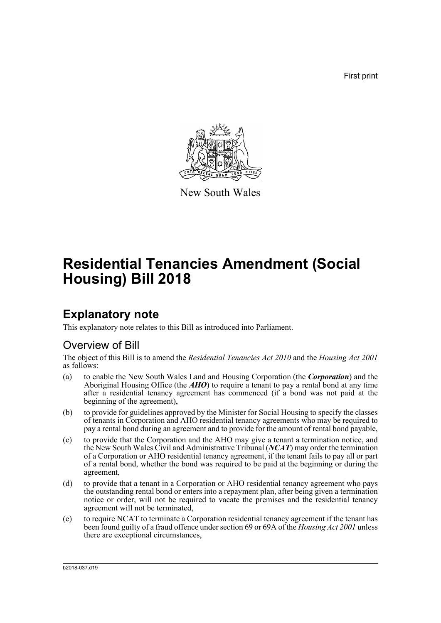First print



New South Wales

# **Residential Tenancies Amendment (Social Housing) Bill 2018**

## **Explanatory note**

This explanatory note relates to this Bill as introduced into Parliament.

## Overview of Bill

The object of this Bill is to amend the *Residential Tenancies Act 2010* and the *Housing Act 2001* as follows:

- (a) to enable the New South Wales Land and Housing Corporation (the *Corporation*) and the Aboriginal Housing Office (the *AHO*) to require a tenant to pay a rental bond at any time after a residential tenancy agreement has commenced (if a bond was not paid at the beginning of the agreement),
- (b) to provide for guidelines approved by the Minister for Social Housing to specify the classes of tenants in Corporation and AHO residential tenancy agreements who may be required to pay a rental bond during an agreement and to provide for the amount of rental bond payable,
- (c) to provide that the Corporation and the AHO may give a tenant a termination notice, and the New South Wales Civil and Administrative Tribunal (*NCAT*) may order the termination of a Corporation or AHO residential tenancy agreement, if the tenant fails to pay all or part of a rental bond, whether the bond was required to be paid at the beginning or during the agreement,
- (d) to provide that a tenant in a Corporation or AHO residential tenancy agreement who pays the outstanding rental bond or enters into a repayment plan, after being given a termination notice or order, will not be required to vacate the premises and the residential tenancy agreement will not be terminated,
- (e) to require NCAT to terminate a Corporation residential tenancy agreement if the tenant has been found guilty of a fraud offence under section 69 or 69A of the *Housing Act 2001* unless there are exceptional circumstances,

b2018-037.d19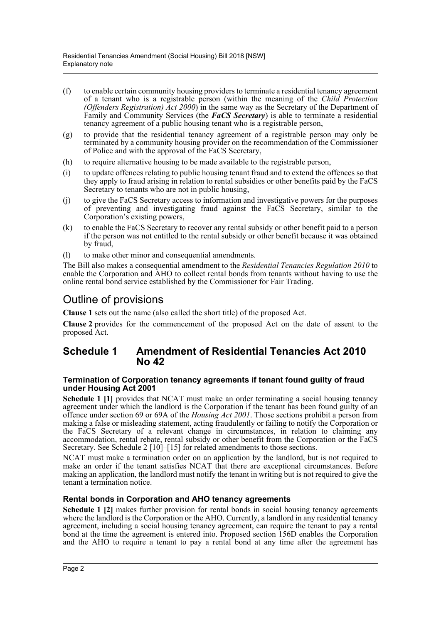- (f) to enable certain community housing providers to terminate a residential tenancy agreement of a tenant who is a registrable person (within the meaning of the *Child Protection (Offenders Registration) Act 2000*) in the same way as the Secretary of the Department of Family and Community Services (the *FaCS Secretary*) is able to terminate a residential tenancy agreement of a public housing tenant who is a registrable person,
- (g) to provide that the residential tenancy agreement of a registrable person may only be terminated by a community housing provider on the recommendation of the Commissioner of Police and with the approval of the FaCS Secretary,
- (h) to require alternative housing to be made available to the registrable person,
- (i) to update offences relating to public housing tenant fraud and to extend the offences so that they apply to fraud arising in relation to rental subsidies or other benefits paid by the FaCS Secretary to tenants who are not in public housing,
- (j) to give the FaCS Secretary access to information and investigative powers for the purposes of preventing and investigating fraud against the FaCS Secretary, similar to the Corporation's existing powers,
- (k) to enable the FaCS Secretary to recover any rental subsidy or other benefit paid to a person if the person was not entitled to the rental subsidy or other benefit because it was obtained by fraud,
- (l) to make other minor and consequential amendments.

The Bill also makes a consequential amendment to the *Residential Tenancies Regulation 2010* to enable the Corporation and AHO to collect rental bonds from tenants without having to use the online rental bond service established by the Commissioner for Fair Trading.

## Outline of provisions

**Clause 1** sets out the name (also called the short title) of the proposed Act.

**Clause 2** provides for the commencement of the proposed Act on the date of assent to the proposed Act.

## **Schedule 1 Amendment of Residential Tenancies Act 2010 No 42**

#### **Termination of Corporation tenancy agreements if tenant found guilty of fraud under Housing Act 2001**

Schedule 1 [1] provides that NCAT must make an order terminating a social housing tenancy agreement under which the landlord is the Corporation if the tenant has been found guilty of an offence under section 69 or 69A of the *Housing Act 2001*. Those sections prohibit a person from making a false or misleading statement, acting fraudulently or failing to notify the Corporation or the FaCS Secretary of a relevant change in circumstances, in relation to claiming any accommodation, rental rebate, rental subsidy or other benefit from the Corporation or the FaCS Secretary. See Schedule 2 [10]–[15] for related amendments to those sections.

NCAT must make a termination order on an application by the landlord, but is not required to make an order if the tenant satisfies NCAT that there are exceptional circumstances. Before making an application, the landlord must notify the tenant in writing but is not required to give the tenant a termination notice.

#### **Rental bonds in Corporation and AHO tenancy agreements**

**Schedule 1 [2]** makes further provision for rental bonds in social housing tenancy agreements where the landlord is the Corporation or the AHO. Currently, a landlord in any residential tenancy agreement, including a social housing tenancy agreement, can require the tenant to pay a rental bond at the time the agreement is entered into. Proposed section 156D enables the Corporation and the AHO to require a tenant to pay a rental bond at any time after the agreement has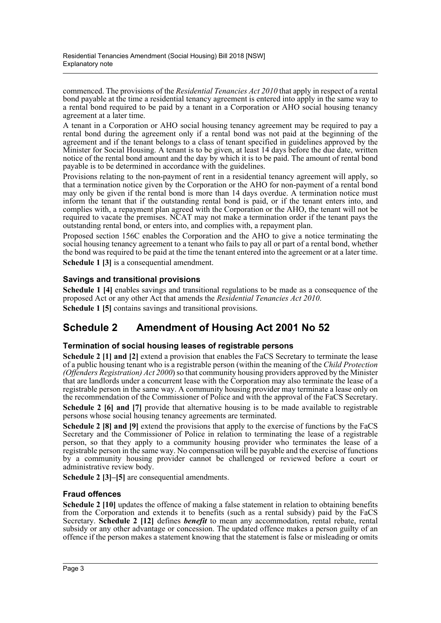commenced. The provisions of the *Residential Tenancies Act 2010* that apply in respect of a rental bond payable at the time a residential tenancy agreement is entered into apply in the same way to a rental bond required to be paid by a tenant in a Corporation or AHO social housing tenancy agreement at a later time.

A tenant in a Corporation or AHO social housing tenancy agreement may be required to pay a rental bond during the agreement only if a rental bond was not paid at the beginning of the agreement and if the tenant belongs to a class of tenant specified in guidelines approved by the Minister for Social Housing. A tenant is to be given, at least 14 days before the due date, written notice of the rental bond amount and the day by which it is to be paid. The amount of rental bond payable is to be determined in accordance with the guidelines.

Provisions relating to the non-payment of rent in a residential tenancy agreement will apply, so that a termination notice given by the Corporation or the AHO for non-payment of a rental bond may only be given if the rental bond is more than 14 days overdue. A termination notice must inform the tenant that if the outstanding rental bond is paid, or if the tenant enters into, and complies with, a repayment plan agreed with the Corporation or the AHO, the tenant will not be required to vacate the premises. NCAT may not make a termination order if the tenant pays the outstanding rental bond, or enters into, and complies with, a repayment plan.

Proposed section 156C enables the Corporation and the AHO to give a notice terminating the social housing tenancy agreement to a tenant who fails to pay all or part of a rental bond, whether the bond was required to be paid at the time the tenant entered into the agreement or at a later time. **Schedule 1 [3]** is a consequential amendment.

## **Savings and transitional provisions**

**Schedule 1 [4]** enables savings and transitional regulations to be made as a consequence of the proposed Act or any other Act that amends the *Residential Tenancies Act 2010*.

**Schedule 1 [5]** contains savings and transitional provisions.

## **Schedule 2 Amendment of Housing Act 2001 No 52**

### **Termination of social housing leases of registrable persons**

**Schedule 2 [1] and [2]** extend a provision that enables the FaCS Secretary to terminate the lease of a public housing tenant who is a registrable person (within the meaning of the *Child Protection (Offenders Registration) Act 2000*) so that community housing providers approved by the Minister that are landlords under a concurrent lease with the Corporation may also terminate the lease of a registrable person in the same way. A community housing provider may terminate a lease only on the recommendation of the Commissioner of Police and with the approval of the FaCS Secretary.

**Schedule 2 [6] and [7]** provide that alternative housing is to be made available to registrable persons whose social housing tenancy agreements are terminated.

**Schedule 2 [8] and [9]** extend the provisions that apply to the exercise of functions by the FaCS Secretary and the Commissioner of Police in relation to terminating the lease of a registrable person, so that they apply to a community housing provider who terminates the lease of a registrable person in the same way. No compensation will be payable and the exercise of functions by a community housing provider cannot be challenged or reviewed before a court or administrative review body.

**Schedule 2 [3]–[5]** are consequential amendments.

### **Fraud offences**

**Schedule 2 [10]** updates the offence of making a false statement in relation to obtaining benefits from the Corporation and extends it to benefits (such as a rental subsidy) paid by the FaCS Secretary. **Schedule 2 [12]** defines *benefit* to mean any accommodation, rental rebate, rental subsidy or any other advantage or concession. The updated offence makes a person guilty of an offence if the person makes a statement knowing that the statement is false or misleading or omits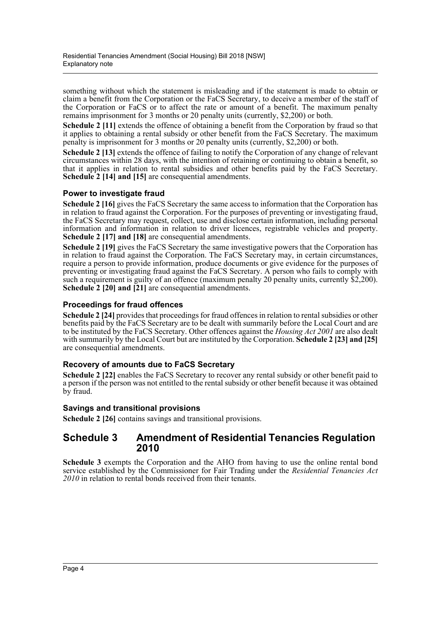something without which the statement is misleading and if the statement is made to obtain or claim a benefit from the Corporation or the FaCS Secretary, to deceive a member of the staff of the Corporation or FaCS or to affect the rate or amount of a benefit. The maximum penalty remains imprisonment for 3 months or 20 penalty units (currently, \$2,200) or both.

**Schedule 2 [11]** extends the offence of obtaining a benefit from the Corporation by fraud so that it applies to obtaining a rental subsidy or other benefit from the FaCS Secretary. The maximum penalty is imprisonment for 3 months or 20 penalty units (currently, \$2,200) or both.

**Schedule 2 [13]** extends the offence of failing to notify the Corporation of any change of relevant circumstances within 28 days, with the intention of retaining or continuing to obtain a benefit, so that it applies in relation to rental subsidies and other benefits paid by the FaCS Secretary. **Schedule 2 [14] and [15]** are consequential amendments.

### **Power to investigate fraud**

**Schedule 2 [16]** gives the FaCS Secretary the same access to information that the Corporation has in relation to fraud against the Corporation. For the purposes of preventing or investigating fraud, the FaCS Secretary may request, collect, use and disclose certain information, including personal information and information in relation to driver licences, registrable vehicles and property. **Schedule 2 [17] and [18]** are consequential amendments.

**Schedule 2 [19]** gives the FaCS Secretary the same investigative powers that the Corporation has in relation to fraud against the Corporation. The FaCS Secretary may, in certain circumstances, require a person to provide information, produce documents or give evidence for the purposes of preventing or investigating fraud against the FaCS Secretary. A person who fails to comply with such a requirement is guilty of an offence (maximum penalty 20 penalty units, currently \$2,200). **Schedule 2 [20] and [21]** are consequential amendments.

### **Proceedings for fraud offences**

**Schedule 2 [24]** provides that proceedings for fraud offences in relation to rental subsidies or other benefits paid by the FaCS Secretary are to be dealt with summarily before the Local Court and are to be instituted by the FaCS Secretary. Other offences against the *Housing Act 2001* are also dealt with summarily by the Local Court but are instituted by the Corporation. **Schedule 2 [23] and [25]** are consequential amendments.

#### **Recovery of amounts due to FaCS Secretary**

**Schedule 2 [22]** enables the FaCS Secretary to recover any rental subsidy or other benefit paid to a person if the person was not entitled to the rental subsidy or other benefit because it was obtained by fraud.

#### **Savings and transitional provisions**

**Schedule 2 [26]** contains savings and transitional provisions.

## **Schedule 3 Amendment of Residential Tenancies Regulation 2010**

**Schedule 3** exempts the Corporation and the AHO from having to use the online rental bond service established by the Commissioner for Fair Trading under the *Residential Tenancies Act 2010* in relation to rental bonds received from their tenants.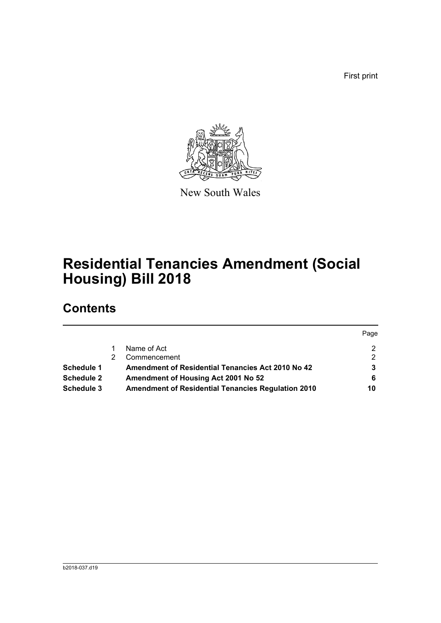First print

Page



New South Wales

# **Residential Tenancies Amendment (Social Housing) Bill 2018**

## **Contents**

|                   |                                                           | Page |
|-------------------|-----------------------------------------------------------|------|
|                   | Name of Act                                               |      |
|                   | Commencement                                              | 2.   |
| Schedule 1        | Amendment of Residential Tenancies Act 2010 No 42         |      |
| <b>Schedule 2</b> | Amendment of Housing Act 2001 No 52                       | 6    |
| Schedule 3        | <b>Amendment of Residential Tenancies Regulation 2010</b> | 10   |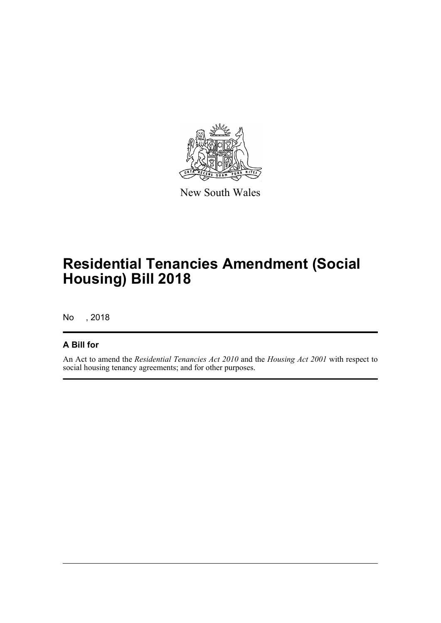

New South Wales

# **Residential Tenancies Amendment (Social Housing) Bill 2018**

No , 2018

## **A Bill for**

An Act to amend the *Residential Tenancies Act 2010* and the *Housing Act 2001* with respect to social housing tenancy agreements; and for other purposes.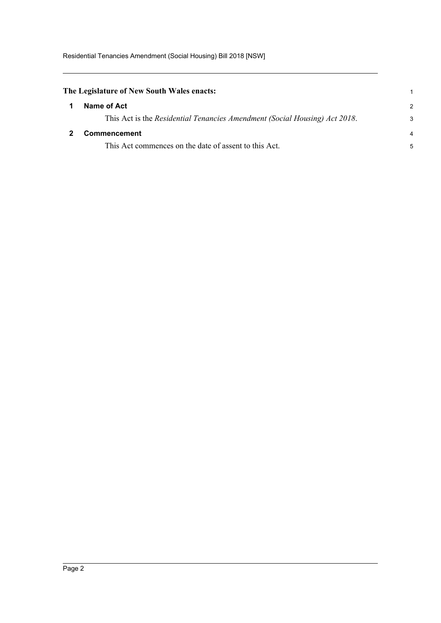<span id="page-6-1"></span><span id="page-6-0"></span>

| The Legislature of New South Wales enacts:                                 |                |
|----------------------------------------------------------------------------|----------------|
| Name of Act                                                                | $\mathcal{P}$  |
| This Act is the Residential Tenancies Amendment (Social Housing) Act 2018. | 3              |
| Commencement                                                               | $\overline{4}$ |
| This Act commences on the date of assent to this Act.                      | 5              |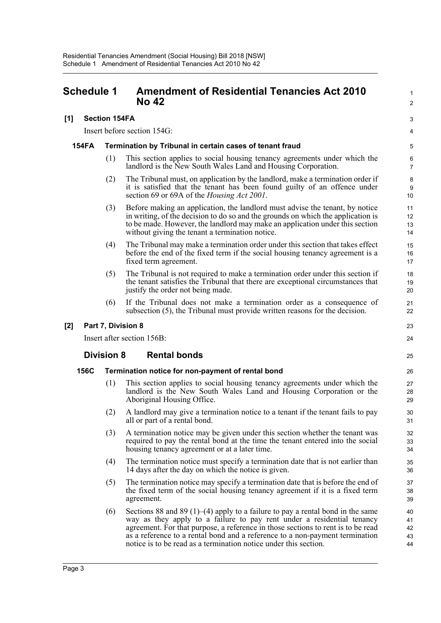## <span id="page-7-0"></span>**Schedule 1 Amendment of Residential Tenancies Act 2010 No 42**

#### **[1] Section 154FA**

Insert before section 154G:

#### **154FA Termination by Tribunal in certain cases of tenant fraud**

(1) This section applies to social housing tenancy agreements under which the landlord is the New South Wales Land and Housing Corporation.

1  $\overline{2}$ 

3 4

- (2) The Tribunal must, on application by the landlord, make a termination order if it is satisfied that the tenant has been found guilty of an offence under section 69 or 69A of the *Housing Act 2001*.
- (3) Before making an application, the landlord must advise the tenant, by notice in writing, of the decision to do so and the grounds on which the application is to be made. However, the landlord may make an application under this section without giving the tenant a termination notice.
- (4) The Tribunal may make a termination order under this section that takes effect before the end of the fixed term if the social housing tenancy agreement is a fixed term agreement.
- (5) The Tribunal is not required to make a termination order under this section if the tenant satisfies the Tribunal that there are exceptional circumstances that justify the order not being made.
- (6) If the Tribunal does not make a termination order as a consequence of subsection (5), the Tribunal must provide written reasons for the decision.

#### **[2] Part 7, Division 8**

Insert after section 156B:

#### **Division 8 Rental bonds**

#### **156C Termination notice for non-payment of rental bond**

- (1) This section applies to social housing tenancy agreements under which the landlord is the New South Wales Land and Housing Corporation or the Aboriginal Housing Office.
- (2) A landlord may give a termination notice to a tenant if the tenant fails to pay all or part of a rental bond.
- (3) A termination notice may be given under this section whether the tenant was required to pay the rental bond at the time the tenant entered into the social housing tenancy agreement or at a later time.
- (4) The termination notice must specify a termination date that is not earlier than 14 days after the day on which the notice is given.
- (5) The termination notice may specify a termination date that is before the end of the fixed term of the social housing tenancy agreement if it is a fixed term agreement.
- (6) Sections 88 and 89 (1)–(4) apply to a failure to pay a rental bond in the same way as they apply to a failure to pay rent under a residential tenancy agreement. For that purpose, a reference in those sections to rent is to be read as a reference to a rental bond and a reference to a non-payment termination notice is to be read as a termination notice under this section.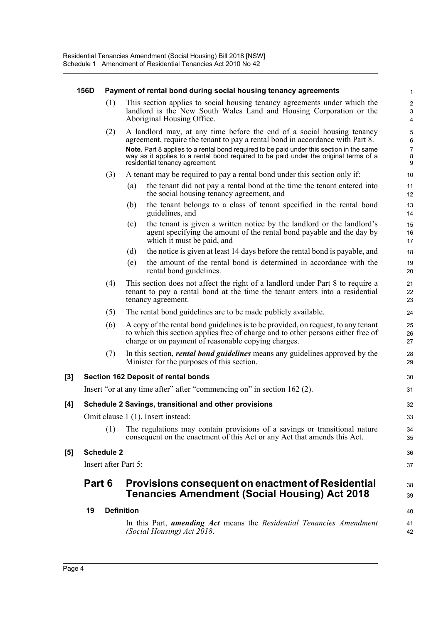#### **156D Payment of rental bond during social housing tenancy agreements**

(1) This section applies to social housing tenancy agreements under which the landlord is the New South Wales Land and Housing Corporation or the Aboriginal Housing Office.

30 31

38 39

- (2) A landlord may, at any time before the end of a social housing tenancy agreement, require the tenant to pay a rental bond in accordance with Part 8. **Note.** Part 8 applies to a rental bond required to be paid under this section in the same way as it applies to a rental bond required to be paid under the original terms of a residential tenancy agreement.
- (3) A tenant may be required to pay a rental bond under this section only if:
	- (a) the tenant did not pay a rental bond at the time the tenant entered into the social housing tenancy agreement, and
	- (b) the tenant belongs to a class of tenant specified in the rental bond guidelines, and
	- (c) the tenant is given a written notice by the landlord or the landlord's agent specifying the amount of the rental bond payable and the day by which it must be paid, and
	- (d) the notice is given at least 14 days before the rental bond is payable, and
	- (e) the amount of the rental bond is determined in accordance with the rental bond guidelines.
- (4) This section does not affect the right of a landlord under Part 8 to require a tenant to pay a rental bond at the time the tenant enters into a residential tenancy agreement.
- (5) The rental bond guidelines are to be made publicly available.
- (6) A copy of the rental bond guidelines is to be provided, on request, to any tenant to which this section applies free of charge and to other persons either free of charge or on payment of reasonable copying charges.
- (7) In this section, *rental bond guidelines* means any guidelines approved by the Minister for the purposes of this section.

#### **[3] Section 162 Deposit of rental bonds**

Insert "or at any time after" after "commencing on" in section 162 (2).

#### **[4] Schedule 2 Savings, transitional and other provisions**

Omit clause 1 (1). Insert instead:

(1) The regulations may contain provisions of a savings or transitional nature consequent on the enactment of this Act or any Act that amends this Act.

#### **[5] Schedule 2**

Insert after Part 5:

## **Part 6 Provisions consequent on enactment of Residential Tenancies Amendment (Social Housing) Act 2018**

**19 Definition** In this Part, *amending Act* means the *Residential Tenancies Amendment (Social Housing) Act 2018*. 40 41 42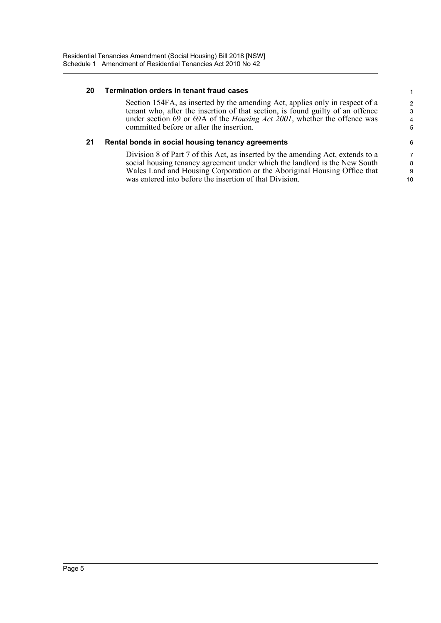#### **20 Termination orders in tenant fraud cases**

Section 154FA, as inserted by the amending Act, applies only in respect of a tenant who, after the insertion of that section, is found guilty of an offence under section 69 or 69A of the *Housing Act 2001*, whether the offence was committed before or after the insertion.

#### **21 Rental bonds in social housing tenancy agreements**

Division 8 of Part 7 of this Act, as inserted by the amending Act, extends to a social housing tenancy agreement under which the landlord is the New South Wales Land and Housing Corporation or the Aboriginal Housing Office that was entered into before the insertion of that Division.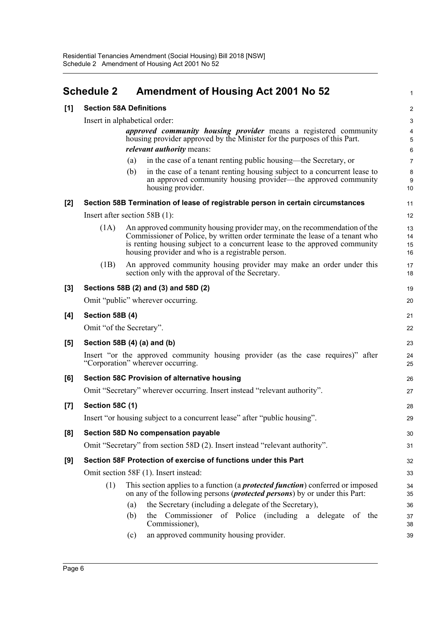<span id="page-10-0"></span>

|       | <b>Schedule 2</b>              | <b>Amendment of Housing Act 2001 No 52</b>                                                                                                                                                                                                                                                  | 1                    |  |
|-------|--------------------------------|---------------------------------------------------------------------------------------------------------------------------------------------------------------------------------------------------------------------------------------------------------------------------------------------|----------------------|--|
| [1]   | <b>Section 58A Definitions</b> |                                                                                                                                                                                                                                                                                             |                      |  |
|       |                                | Insert in alphabetical order:                                                                                                                                                                                                                                                               | $\sqrt{3}$           |  |
|       |                                | approved community housing provider means a registered community<br>housing provider approved by the Minister for the purposes of this Part.                                                                                                                                                | 4<br>$\overline{5}$  |  |
|       |                                | <i>relevant authority</i> means:<br>in the case of a tenant renting public housing—the Secretary, or<br>(a)                                                                                                                                                                                 | 6<br>$\overline{7}$  |  |
|       |                                | (b)<br>in the case of a tenant renting housing subject to a concurrent lease to                                                                                                                                                                                                             | 8                    |  |
|       |                                | an approved community housing provider—the approved community<br>housing provider.                                                                                                                                                                                                          | 9<br>10              |  |
| [2]   |                                | Section 58B Termination of lease of registrable person in certain circumstances                                                                                                                                                                                                             | 11                   |  |
|       |                                | Insert after section $58B(1)$ :                                                                                                                                                                                                                                                             | 12                   |  |
|       | (1A)                           | An approved community housing provider may, on the recommendation of the<br>Commissioner of Police, by written order terminate the lease of a tenant who<br>is renting housing subject to a concurrent lease to the approved community<br>housing provider and who is a registrable person. | 13<br>14<br>15<br>16 |  |
|       | (1B)                           | An approved community housing provider may make an order under this<br>section only with the approval of the Secretary.                                                                                                                                                                     | 17<br>18             |  |
| $[3]$ |                                | Sections 58B (2) and (3) and 58D (2)                                                                                                                                                                                                                                                        | 19                   |  |
|       |                                | Omit "public" wherever occurring.                                                                                                                                                                                                                                                           | 20                   |  |
| [4]   | Section 58B (4)                |                                                                                                                                                                                                                                                                                             | 21                   |  |
|       |                                | Omit "of the Secretary".                                                                                                                                                                                                                                                                    | 22                   |  |
| [5]   |                                | Section 58B (4) (a) and (b)                                                                                                                                                                                                                                                                 | 23                   |  |
|       |                                | Insert "or the approved community housing provider (as the case requires)" after<br>"Corporation" wherever occurring.                                                                                                                                                                       | 24<br>25             |  |
| [6]   |                                | Section 58C Provision of alternative housing                                                                                                                                                                                                                                                | 26                   |  |
|       |                                | Omit "Secretary" wherever occurring. Insert instead "relevant authority".                                                                                                                                                                                                                   | 27                   |  |
| [7]   | <b>Section 58C (1)</b>         |                                                                                                                                                                                                                                                                                             | 28                   |  |
|       |                                | Insert "or housing subject to a concurrent lease" after "public housing".                                                                                                                                                                                                                   | 29                   |  |
| [8]   |                                | Section 58D No compensation payable                                                                                                                                                                                                                                                         | 30                   |  |
|       |                                | Omit "Secretary" from section 58D (2). Insert instead "relevant authority".                                                                                                                                                                                                                 | 31                   |  |
| [9]   |                                | Section 58F Protection of exercise of functions under this Part                                                                                                                                                                                                                             | 32                   |  |
|       |                                | Omit section 58F (1). Insert instead:                                                                                                                                                                                                                                                       | 33                   |  |
|       | (1)                            | This section applies to a function (a <i>protected function</i> ) conferred or imposed<br>on any of the following persons <i>(protected persons)</i> by or under this Part:                                                                                                                 | 34<br>35             |  |
|       |                                | the Secretary (including a delegate of the Secretary),<br>(a)                                                                                                                                                                                                                               | 36                   |  |
|       |                                | the Commissioner of Police (including a delegate of the<br>(b)<br>Commissioner),                                                                                                                                                                                                            | 37<br>38             |  |
|       |                                | an approved community housing provider.<br>(c)                                                                                                                                                                                                                                              | 39                   |  |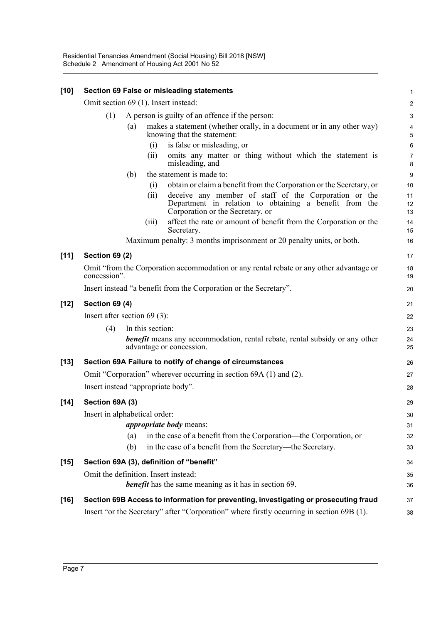| $[10]$ |                                      |     |                  | Section 69 False or misleading statements                                                                                                           | 1                         |
|--------|--------------------------------------|-----|------------------|-----------------------------------------------------------------------------------------------------------------------------------------------------|---------------------------|
|        | Omit section 69 (1). Insert instead: |     |                  |                                                                                                                                                     |                           |
|        | (1)                                  |     |                  | A person is guilty of an offence if the person:                                                                                                     | $\ensuremath{\mathsf{3}}$ |
|        |                                      | (a) |                  | makes a statement (whether orally, in a document or in any other way)<br>knowing that the statement:                                                | 4<br>$\sqrt{5}$           |
|        |                                      |     | (i)              | is false or misleading, or                                                                                                                          | 6                         |
|        |                                      |     | (ii)             | omits any matter or thing without which the statement is<br>misleading, and                                                                         | $\overline{7}$<br>8       |
|        |                                      | (b) |                  | the statement is made to:                                                                                                                           | $\boldsymbol{9}$          |
|        |                                      |     | (i)              | obtain or claim a benefit from the Corporation or the Secretary, or                                                                                 | 10                        |
|        |                                      |     | (ii)             | deceive any member of staff of the Corporation or the<br>Department in relation to obtaining a benefit from the<br>Corporation or the Secretary, or | 11<br>12<br>13            |
|        |                                      |     | (111)            | affect the rate or amount of benefit from the Corporation or the<br>Secretary.                                                                      | 14<br>15                  |
|        |                                      |     |                  | Maximum penalty: 3 months imprisonment or 20 penalty units, or both.                                                                                | 16                        |
| $[11]$ | <b>Section 69 (2)</b>                |     |                  |                                                                                                                                                     | 17                        |
|        | concession".                         |     |                  | Omit "from the Corporation accommodation or any rental rebate or any other advantage or                                                             | 18<br>19                  |
|        |                                      |     |                  | Insert instead "a benefit from the Corporation or the Secretary".                                                                                   | 20                        |
| $[12]$ | <b>Section 69 (4)</b>                |     |                  |                                                                                                                                                     | 21                        |
|        | Insert after section $69(3)$ :       |     |                  |                                                                                                                                                     | 22                        |
|        | (4)                                  |     | In this section: |                                                                                                                                                     | 23                        |
|        |                                      |     |                  | <b>benefit</b> means any accommodation, rental rebate, rental subsidy or any other<br>advantage or concession.                                      | 24<br>25                  |
| $[13]$ |                                      |     |                  | Section 69A Failure to notify of change of circumstances                                                                                            | 26                        |
|        |                                      |     |                  | Omit "Corporation" wherever occurring in section 69A (1) and (2).                                                                                   | 27                        |
|        | Insert instead "appropriate body".   |     |                  |                                                                                                                                                     | 28                        |
| $[14]$ | Section 69A (3)                      |     |                  |                                                                                                                                                     | 29                        |
|        | Insert in alphabetical order:        |     |                  |                                                                                                                                                     | $30\,$                    |
|        |                                      |     |                  | <i>appropriate body</i> means:                                                                                                                      | 31                        |
|        |                                      | (a) |                  | in the case of a benefit from the Corporation—the Corporation, or                                                                                   | 32                        |
|        |                                      | (b) |                  | in the case of a benefit from the Secretary—the Secretary.                                                                                          | 33                        |
| $[15]$ |                                      |     |                  | Section 69A (3), definition of "benefit"                                                                                                            | 34                        |
|        | Omit the definition. Insert instead: |     |                  |                                                                                                                                                     | 35                        |
|        |                                      |     |                  | <b>benefit</b> has the same meaning as it has in section 69.                                                                                        | 36                        |
| $[16]$ |                                      |     |                  | Section 69B Access to information for preventing, investigating or prosecuting fraud                                                                | 37                        |
|        |                                      |     |                  | Insert "or the Secretary" after "Corporation" where firstly occurring in section 69B (1).                                                           | 38                        |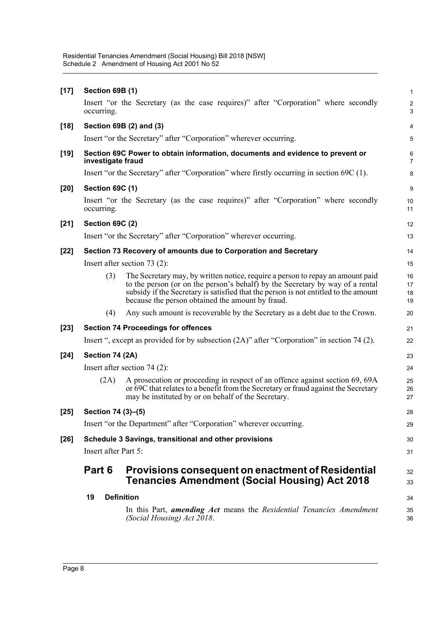|        | 19                   | <b>Definition</b><br>In this Part, <i>amending Act</i> means the <i>Residential Tenancies Amendment</i>                                                                                                                                                                                                    | 34<br>35             |
|--------|----------------------|------------------------------------------------------------------------------------------------------------------------------------------------------------------------------------------------------------------------------------------------------------------------------------------------------------|----------------------|
|        | Part 6               | <b>Provisions consequent on enactment of Residential</b><br><b>Tenancies Amendment (Social Housing) Act 2018</b>                                                                                                                                                                                           | 32<br>33             |
| $[26]$ | Insert after Part 5: | Schedule 3 Savings, transitional and other provisions                                                                                                                                                                                                                                                      | 30<br>31             |
|        |                      |                                                                                                                                                                                                                                                                                                            |                      |
| $[25]$ | Section 74 (3)-(5)   | Insert "or the Department" after "Corporation" wherever occurring.                                                                                                                                                                                                                                         | 28<br>29             |
|        | (2A)                 | A prosecution or proceeding in respect of an offence against section 69, 69A<br>or 69C that relates to a benefit from the Secretary or fraud against the Secretary<br>may be instituted by or on behalf of the Secretary.                                                                                  | 25<br>26<br>27       |
|        |                      | Insert after section $74(2)$ :                                                                                                                                                                                                                                                                             | 24                   |
| $[24]$ | Section 74 (2A)      |                                                                                                                                                                                                                                                                                                            | 23                   |
|        |                      | Insert ", except as provided for by subsection $(2A)$ " after "Corporation" in section 74 (2).                                                                                                                                                                                                             | 22                   |
| $[23]$ |                      | <b>Section 74 Proceedings for offences</b>                                                                                                                                                                                                                                                                 | 21                   |
|        | (4)                  | Any such amount is recoverable by the Secretary as a debt due to the Crown.                                                                                                                                                                                                                                | 20                   |
|        | (3)                  | The Secretary may, by written notice, require a person to repay an amount paid<br>to the person (or on the person's behalf) by the Secretary by way of a rental<br>subsidy if the Secretary is satisfied that the person is not entitled to the amount<br>because the person obtained the amount by fraud. | 16<br>17<br>18<br>19 |
|        |                      | Insert after section $73(2)$ :                                                                                                                                                                                                                                                                             | 15                   |
| $[22]$ |                      | Section 73 Recovery of amounts due to Corporation and Secretary                                                                                                                                                                                                                                            | 14                   |
|        |                      | Insert "or the Secretary" after "Corporation" wherever occurring.                                                                                                                                                                                                                                          | 13                   |
| $[21]$ | Section 69C (2)      |                                                                                                                                                                                                                                                                                                            | 12                   |
|        | occurring.           | Insert "or the Secretary (as the case requires)" after "Corporation" where secondly                                                                                                                                                                                                                        | 10<br>11             |
| $[20]$ | Section 69C (1)      |                                                                                                                                                                                                                                                                                                            | 9                    |
|        |                      | Insert "or the Secretary" after "Corporation" where firstly occurring in section 69C (1).                                                                                                                                                                                                                  | 8                    |
| $[19]$ | investigate fraud    | Section 69C Power to obtain information, documents and evidence to prevent or                                                                                                                                                                                                                              | 6<br>7               |
|        |                      | Insert "or the Secretary" after "Corporation" wherever occurring.                                                                                                                                                                                                                                          | $\mathbf 5$          |
| $[18]$ |                      | Section 69B (2) and (3)                                                                                                                                                                                                                                                                                    | 4                    |
|        | occurring.           | Insert "or the Secretary (as the case requires)" after "Corporation" where secondly                                                                                                                                                                                                                        | 2<br>3               |
| $[17]$ | Section 69B (1)      |                                                                                                                                                                                                                                                                                                            | $\mathbf{1}$         |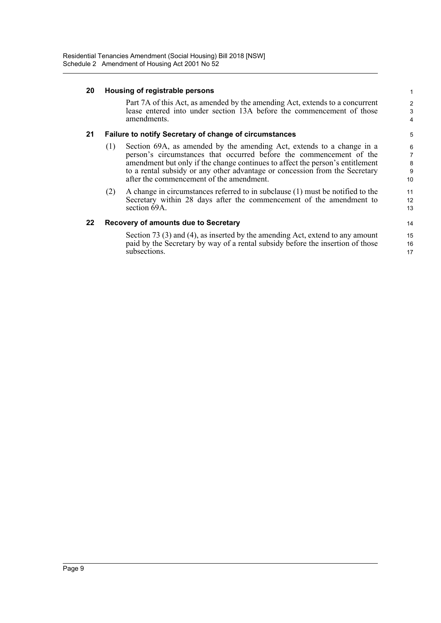#### **20 Housing of registrable persons**

Part 7A of this Act, as amended by the amending Act, extends to a concurrent lease entered into under section 13A before the commencement of those amendments.

#### **21 Failure to notify Secretary of change of circumstances**

- (1) Section 69A, as amended by the amending Act, extends to a change in a person's circumstances that occurred before the commencement of the amendment but only if the change continues to affect the person's entitlement to a rental subsidy or any other advantage or concession from the Secretary after the commencement of the amendment.
- (2) A change in circumstances referred to in subclause (1) must be notified to the Secretary within 28 days after the commencement of the amendment to section 69A.

#### **22 Recovery of amounts due to Secretary**

Section 73 (3) and (4), as inserted by the amending Act, extend to any amount paid by the Secretary by way of a rental subsidy before the insertion of those subsections.